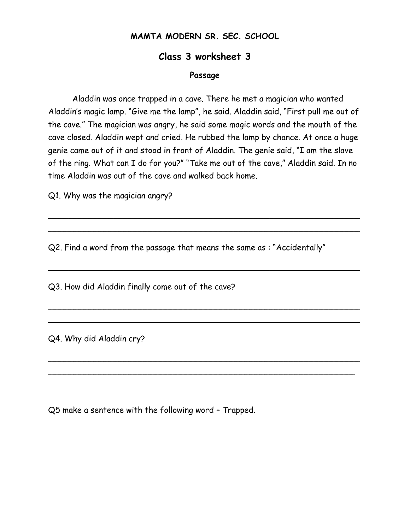## **MAMTA MODERN SR. SEC. SCHOOL**

## **Class 3 worksheet 3**

## **Passage**

Aladdin was once trapped in a cave. There he met a magician who wanted Aladdin's magic lamp. "Give me the lamp", he said. Aladdin said, "First pull me out of the cave." The magician was angry, he said some magic words and the mouth of the cave closed. Aladdin wept and cried. He rubbed the lamp by chance. At once a huge genie came out of it and stood in front of Aladdin. The genie said, "I am the slave of the ring. What can I do for you?" "Take me out of the cave," Aladdin said. In no time Aladdin was out of the cave and walked back home.

\_\_\_\_\_\_\_\_\_\_\_\_\_\_\_\_\_\_\_\_\_\_\_\_\_\_\_\_\_\_\_\_\_\_\_\_\_\_\_\_\_\_\_\_\_\_\_\_\_\_\_\_\_\_\_\_\_\_\_\_\_\_  $\overline{\phantom{a}}$ 

 $\overline{\phantom{a}}$ 

\_\_\_\_\_\_\_\_\_\_\_\_\_\_\_\_\_\_\_\_\_\_\_\_\_\_\_\_\_\_\_\_\_\_\_\_\_\_\_\_\_\_\_\_\_\_\_\_\_\_\_\_\_\_\_\_\_\_\_\_\_\_  $\overline{\phantom{a}}$ 

 $\overline{\phantom{a}}$  $\overline{\phantom{a}}$ 

Q1. Why was the magician angry?

Q2. Find a word from the passage that means the same as : "Accidentally"

Q3. How did Aladdin finally come out of the cave?

Q4. Why did Aladdin cry?

Q5 make a sentence with the following word – Trapped.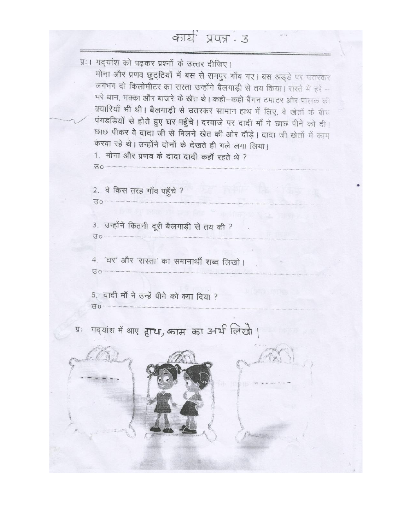कार्य प्रपत्र - उ

 $\mathcal{V} \rightarrow$ 

|      | प्रः। गद्यांश को पढ़कर प्रश्नों के उत्तर दीजिए।<br>मोना और प्रणव छुट्टियों में बस से रामपुर गाँव गए। बस अड्डे पर उतरकर<br>लगभग दो किलोमीटर का रास्ता उन्होंने बैलगाड़ी से तय किया। रास्ते में हरे –<br>भरे धान, मक्का और बाजरे के खेत थे। कही-कही बैंगन टमाटर और पालक की<br>क्यारियाँ भी थी। बैलगाड़ी से उतरकर सामान हाथ में लिए, वे खेतों के बीच<br>पंगडडियों से होते हुए घर पहुँचे। दरवाजे पर दादी माँ ने छाछ पीने को दी।<br>छाछ पीकर वे दादा जी से मिलने खेत की ओर दौड़े। दादा जी खेतों में काम<br>करवा रहे थे। उन्होंने दोनों के देखते ही गले लगा लिया।<br>1. मोना और प्रणव के दादा दादी कहाँ रहते थे ? |
|------|-------------------------------------------------------------------------------------------------------------------------------------------------------------------------------------------------------------------------------------------------------------------------------------------------------------------------------------------------------------------------------------------------------------------------------------------------------------------------------------------------------------------------------------------------------------------------------------------------------------|
|      | 2. वे किस तरह गाँव पहुँचे ?<br>$H_0$                                                                                                                                                                                                                                                                                                                                                                                                                                                                                                                                                                        |
|      | 3. उन्होंने कितनी दूरी बैलगाड़ी से तय की ?<br>10 <sup>h</sup>                                                                                                                                                                                                                                                                                                                                                                                                                                                                                                                                               |
|      | 4. 'घर' और 'रास्ता' का समानार्थी शब्द लिखो।<br>G <sub>U</sub>                                                                                                                                                                                                                                                                                                                                                                                                                                                                                                                                               |
|      | 5. दादी माँ ने उन्हें पीने को क्या दिया ?<br>$A_0$ .                                                                                                                                                                                                                                                                                                                                                                                                                                                                                                                                                        |
| प्र: | गदयांश में आए हाथा, काम का उनर्थ लिखो                                                                                                                                                                                                                                                                                                                                                                                                                                                                                                                                                                       |
|      |                                                                                                                                                                                                                                                                                                                                                                                                                                                                                                                                                                                                             |